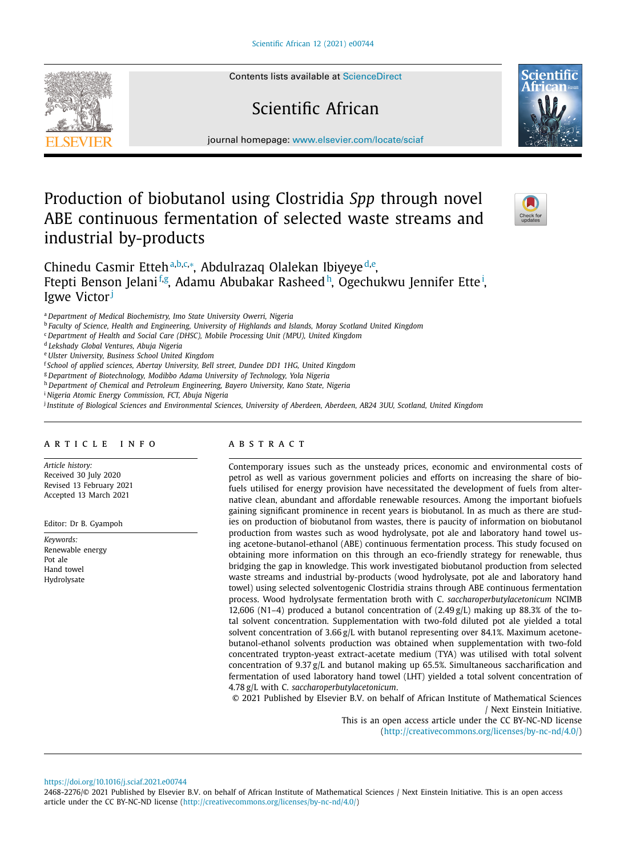Contents lists available at [ScienceDirect](http://www.ScienceDirect.com)

# Scientific African



journal homepage: [www.elsevier.com/locate/sciaf](http://www.elsevier.com/locate/sciaf)

## Production of biobutanol using Clostridia *Spp* through novel ABE continuous fermentation of selected waste streams and industrial by-products



Chinedu Casmir Etteh<sup>a, b, c,[∗](#page-1-0)</sup>, Abdulrazaq Olalekan Ibiyeye<sup>d, e</sup>, Ftepti Benson Jelani<sup>f,g</sup>, Adamu Abubakar Rasheed<sup>h</sup>, Ogechukwu Jennifer Ette<sup>i</sup>, Igwe Victor<sup>j</sup>

<sup>a</sup> *Department of Medical Biochemistry, Imo State University Owerri, Nigeria*

<sup>b</sup> *Faculty of Science, Health and Engineering, University of Highlands and Islands, Moray Scotland United Kingdom*

<sup>c</sup> *Department of Health and Social Care (DHSC), Mobile Processing Unit (MPU), United Kingdom*

<sup>d</sup> *Lekshady Global Ventures, Abuja Nigeria*

<sup>e</sup> *Ulster University, Business School United Kingdom*

<sup>f</sup> *School of applied sciences, Abertay University, Bell street, Dundee DD1 1HG, United Kingdom*

<sup>g</sup> *Department of Biotechnology, Modibbo Adama University of Technology, Yola Nigeria*

<sup>h</sup> *Department of Chemical and Petroleum Engineering, Bayero University, Kano State, Nigeria*

<sup>i</sup> *Nigeria Atomic Energy Commission, FCT, Abuja Nigeria*

Institute of Biological Sciences and Environmental Sciences, University of Aberdeen, Aberdeen, AB24 3UU, Scotland, United Kingdom

## a r t i c l e i n f o

*Article history:* Received 30 July 2020 Revised 13 February 2021 Accepted 13 March 2021

Editor: Dr B. Gyampoh

*Keywords:* Renewable energy Pot ale Hand towel Hydrolysate

## a b s t r a c t

Contemporary issues such as the unsteady prices, economic and environmental costs of petrol as well as various government policies and efforts on increasing the share of biofuels utilised for energy provision have necessitated the development of fuels from alternative clean, abundant and affordable renewable resources. Among the important biofuels gaining significant prominence in recent years is biobutanol. In as much as there are studies on production of biobutanol from wastes, there is paucity of information on biobutanol production from wastes such as wood hydrolysate, pot ale and laboratory hand towel using acetone-butanol-ethanol (ABE) continuous fermentation process. This study focused on obtaining more information on this through an eco-friendly strategy for renewable, thus bridging the gap in knowledge. This work investigated biobutanol production from selected waste streams and industrial by-products (wood hydrolysate, pot ale and laboratory hand towel) using selected solventogenic Clostridia strains through ABE continuous fermentation process. Wood hydrolysate fermentation broth with C. *saccharoperbutylacetonicum* NCIMB 12,606 (N1-4) produced a butanol concentration of  $(2.49 g/L)$  making up 88.3% of the total solvent concentration. Supplementation with two-fold diluted pot ale yielded a total solvent concentration of 3.66 g/L with butanol representing over 84.1%. Maximum acetonebutanol-ethanol solvents production was obtained when supplementation with two-fold concentrated trypton-yeast extract-acetate medium (TYA) was utilised with total solvent concentration of 9.37 g/L and butanol making up 65.5%. Simultaneous saccharification and fermentation of used laboratory hand towel (LHT) yielded a total solvent concentration of 4.78 g/L with C. *saccharoperbutylacetonicum*.

© 2021 Published by Elsevier B.V. on behalf of African Institute of Mathematical Sciences / Next Einstein Initiative.

This is an open access article under the CC BY-NC-ND license [\(http://creativecommons.org/licenses/by-nc-nd/4.0/\)](http://creativecommons.org/licenses/by-nc-nd/4.0/)

<https://doi.org/10.1016/j.sciaf.2021.e00744>

2468-2276/© 2021 Published by Elsevier B.V. on behalf of African Institute of Mathematical Sciences / Next Einstein Initiative. This is an open access article under the CC BY-NC-ND license [\(http://creativecommons.org/licenses/by-nc-nd/4.0/\)](http://creativecommons.org/licenses/by-nc-nd/4.0/)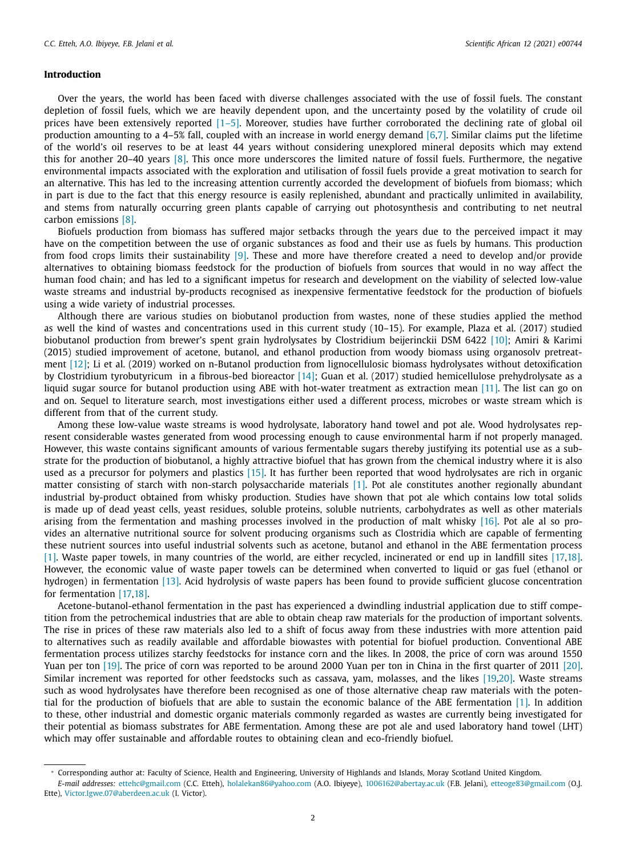## <span id="page-1-0"></span>**Introduction**

Over the years, the world has been faced with diverse challenges associated with the use of fossil fuels. The constant depletion of fossil fuels, which we are heavily dependent upon, and the uncertainty posed by the volatility of crude oil prices have been extensively reported [\[1–5\].](#page-8-0) Moreover, studies have further corroborated the declining rate of global oil production amounting to a 4–5% fall, coupled with an increase in world energy demand [\[6,7\].](#page-8-0) Similar claims put the lifetime of the world's oil reserves to be at least 44 years without considering unexplored mineral deposits which may extend this for another 20–40 years [\[8\].](#page-8-0) This once more underscores the limited nature of fossil fuels. Furthermore, the negative environmental impacts associated with the exploration and utilisation of fossil fuels provide a great motivation to search for an alternative. This has led to the increasing attention currently accorded the development of biofuels from biomass; which in part is due to the fact that this energy resource is easily replenished, abundant and practically unlimited in availability, and stems from naturally occurring green plants capable of carrying out photosynthesis and contributing to net neutral carbon emissions [\[8\].](#page-8-0)

Biofuels production from biomass has suffered major setbacks through the years due to the perceived impact it may have on the competition between the use of organic substances as food and their use as fuels by humans. This production from food crops limits their sustainability [\[9\].](#page-8-0) These and more have therefore created a need to develop and/or provide alternatives to obtaining biomass feedstock for the production of biofuels from sources that would in no way affect the human food chain; and has led to a significant impetus for research and development on the viability of selected low-value waste streams and industrial by-products recognised as inexpensive fermentative feedstock for the production of biofuels using a wide variety of industrial processes.

Although there are various studies on biobutanol production from wastes, none of these studies applied the method as well the kind of wastes and concentrations used in this current study (10–15). For example, Plaza et al. (2017) studied biobutanol production from brewer's spent grain hydrolysates by Clostridium beijerinckii DSM 6422 [\[10\];](#page-8-0) Amiri & Karimi (2015) studied improvement of acetone, butanol, and ethanol production from woody biomass using organosolv pretreatment [\[12\];](#page-8-0) Li et al. (2019) worked on n-Butanol production from lignocellulosic biomass hydrolysates without detoxification by Clostridium tyrobutyricum in a fibrous-bed bioreactor [\[14\];](#page-8-0) Guan et al. (2017) studied hemicellulose prehydrolysate as a liquid sugar source for butanol production using ABE with hot-water treatment as extraction mean [\[11\].](#page-8-0) The list can go on and on. Sequel to literature search, most investigations either used a different process, microbes or waste stream which is different from that of the current study.

Among these low-value waste streams is wood hydrolysate, laboratory hand towel and pot ale. Wood hydrolysates represent considerable wastes generated from wood processing enough to cause environmental harm if not properly managed. However, this waste contains significant amounts of various fermentable sugars thereby justifying its potential use as a substrate for the production of biobutanol, a highly attractive biofuel that has grown from the chemical industry where it is also used as a precursor for polymers and plastics [\[15\].](#page-8-0) It has further been reported that wood hydrolysates are rich in organic matter consisting of starch with non-starch polysaccharide materials [\[1\].](#page-8-0) Pot ale constitutes another regionally abundant industrial by-product obtained from whisky production. Studies have shown that pot ale which contains low total solids is made up of dead yeast cells, yeast residues, soluble proteins, soluble nutrients, carbohydrates as well as other materials arising from the fermentation and mashing processes involved in the production of malt whisky [\[16\].](#page-8-0) Pot ale al so provides an alternative nutritional source for solvent producing organisms such as Clostridia which are capable of fermenting these nutrient sources into useful industrial solvents such as acetone, butanol and ethanol in the ABE fermentation process [\[1\].](#page-8-0) Waste paper towels, in many countries of the world, are either recycled, incinerated or end up in landfill sites [\[17,18\].](#page-8-0) However, the economic value of waste paper towels can be determined when converted to liquid or gas fuel (ethanol or hydrogen) in fermentation [\[13\].](#page-8-0) Acid hydrolysis of waste papers has been found to provide sufficient glucose concentration for fermentation [\[17,18\].](#page-8-0)

Acetone-butanol-ethanol fermentation in the past has experienced a dwindling industrial application due to stiff competition from the petrochemical industries that are able to obtain cheap raw materials for the production of important solvents. The rise in prices of these raw materials also led to a shift of focus away from these industries with more attention paid to alternatives such as readily available and affordable biowastes with potential for biofuel production. Conventional ABE fermentation process utilizes starchy feedstocks for instance corn and the likes. In 2008, the price of corn was around 1550 Yuan per ton [\[19\].](#page-8-0) The price of corn was reported to be around 2000 Yuan per ton in China in the first quarter of 2011 [\[20\].](#page-8-0) Similar increment was reported for other feedstocks such as cassava, yam, molasses, and the likes [\[19,20\].](#page-8-0) Waste streams such as wood hydrolysates have therefore been recognised as one of those alternative cheap raw materials with the potential for the production of biofuels that are able to sustain the economic balance of the ABE fermentation [\[1\].](#page-8-0) In addition to these, other industrial and domestic organic materials commonly regarded as wastes are currently being investigated for their potential as biomass substrates for ABE fermentation. Among these are pot ale and used laboratory hand towel (LHT) which may offer sustainable and affordable routes to obtaining clean and eco-friendly biofuel.

<sup>∗</sup> Corresponding author at: Faculty of Science, Health and Engineering, University of Highlands and Islands, Moray Scotland United Kingdom.

*E-mail addresses:* [ettehc@gmail.com](mailto:ettehc@gmail.com) (C.C. Etteh), [holalekan86@yahoo.com](mailto:holalekan86@yahoo.com) (A.O. Ibiyeye), [1006162@abertay.ac.uk](mailto:1006162@abertay.ac.uk) (F.B. Jelani), [etteoge83@gmail.com](mailto:etteoge83@gmail.com) (O.J. Ette), [Victor.Igwe.07@aberdeen.ac.uk](mailto:Victor.Igwe.07@aberdeen.ac.uk) (I. Victor).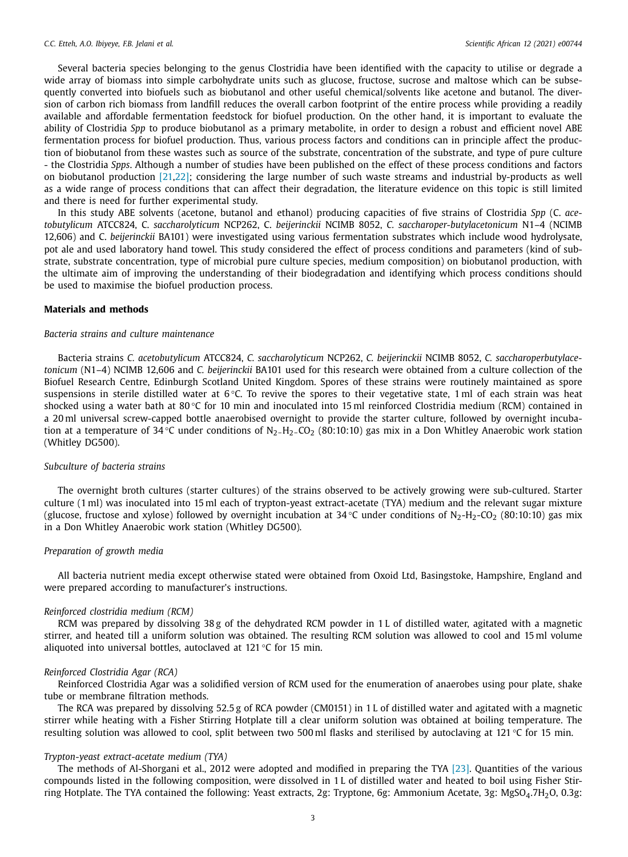Several bacteria species belonging to the genus Clostridia have been identified with the capacity to utilise or degrade a wide array of biomass into simple carbohydrate units such as glucose, fructose, sucrose and maltose which can be subsequently converted into biofuels such as biobutanol and other useful chemical/solvents like acetone and butanol. The diversion of carbon rich biomass from landfill reduces the overall carbon footprint of the entire process while providing a readily available and affordable fermentation feedstock for biofuel production. On the other hand, it is important to evaluate the ability of Clostridia *Spp* to produce biobutanol as a primary metabolite, in order to design a robust and efficient novel ABE fermentation process for biofuel production. Thus, various process factors and conditions can in principle affect the production of biobutanol from these wastes such as source of the substrate, concentration of the substrate, and type of pure culture - the Clostridia *Spps*. Although a number of studies have been published on the effect of these process conditions and factors on biobutanol production [\[21,22\];](#page-8-0) considering the large number of such waste streams and industrial by-products as well as a wide range of process conditions that can affect their degradation, the literature evidence on this topic is still limited and there is need for further experimental study.

In this study ABE solvents (acetone, butanol and ethanol) producing capacities of five strains of Clostridia *Spp* (C. *acetobutylicum* ATCC824, C. *saccharolyticum* NCP262, C. *beijerinckii* NCIMB 8052, *C. saccharoper-butylacetonicum* N1–4 (NCIMB 12,606) and C. *beijerinckii* BA101) were investigated using various fermentation substrates which include wood hydrolysate, pot ale and used laboratory hand towel. This study considered the effect of process conditions and parameters (kind of substrate, substrate concentration, type of microbial pure culture species, medium composition) on biobutanol production, with the ultimate aim of improving the understanding of their biodegradation and identifying which process conditions should be used to maximise the biofuel production process.

#### **Materials and methods**

#### *Bacteria strains and culture maintenance*

Bacteria strains *C. acetobutylicum* ATCC824, *C. saccharolyticum* NCP262, *C. beijerinckii* NCIMB 8052, *C. saccharoperbutylacetonicum* (N1–4) NCIMB 12,606 and *C. beijerinckii* BA101 used for this research were obtained from a culture collection of the Biofuel Research Centre, Edinburgh Scotland United Kingdom. Spores of these strains were routinely maintained as spore suspensions in sterile distilled water at  $6^{\circ}$ C. To revive the spores to their vegetative state, 1 ml of each strain was heat shocked using a water bath at 80 °C for 10 min and inoculated into 15 ml reinforced Clostridia medium (RCM) contained in a 20 ml universal screw-capped bottle anaerobised overnight to provide the starter culture, followed by overnight incubation at a temperature of 34 °C under conditions of  $N_2-H_2$ -CO<sub>2</sub> (80:10:10) gas mix in a Don Whitley Anaerobic work station (Whitley DG500).

#### *Subculture of bacteria strains*

The overnight broth cultures (starter cultures) of the strains observed to be actively growing were sub-cultured. Starter culture (1 ml) was inoculated into 15 ml each of trypton-yeast extract-acetate (TYA) medium and the relevant sugar mixture (glucose, fructose and xylose) followed by overnight incubation at 34 °C under conditions of  $N_2-H_2$ -CO<sub>2</sub> (80:10:10) gas mix in a Don Whitley Anaerobic work station (Whitley DG500).

#### *Preparation of growth media*

All bacteria nutrient media except otherwise stated were obtained from Oxoid Ltd, Basingstoke, Hampshire, England and were prepared according to manufacturer's instructions.

#### *Reinforced clostridia medium (RCM)*

RCM was prepared by dissolving 38 g of the dehydrated RCM powder in 1 L of distilled water, agitated with a magnetic stirrer, and heated till a uniform solution was obtained. The resulting RCM solution was allowed to cool and 15 ml volume aliquoted into universal bottles, autoclaved at 121 °C for 15 min.

#### *Reinforced Clostridia Agar (RCA)*

Reinforced Clostridia Agar was a solidified version of RCM used for the enumeration of anaerobes using pour plate, shake tube or membrane filtration methods.

The RCA was prepared by dissolving 52.5 g of RCA powder (CM0151) in 1 L of distilled water and agitated with a magnetic stirrer while heating with a Fisher Stirring Hotplate till a clear uniform solution was obtained at boiling temperature. The resulting solution was allowed to cool, split between two 500 ml flasks and sterilised by autoclaving at 121 °C for 15 min.

#### *Trypton-yeast extract-acetate medium (TYA)*

The methods of Al-Shorgani et al., 2012 were adopted and modified in preparing the TYA [\[23\].](#page-8-0) Quantities of the various compounds listed in the following composition, were dissolved in 1 L of distilled water and heated to boil using Fisher Stirring Hotplate. The TYA contained the following: Yeast extracts, 2g: Tryptone, 6g: Ammonium Acetate, 3g: MgSO<sub>4</sub>.7H<sub>2</sub>O, 0.3g: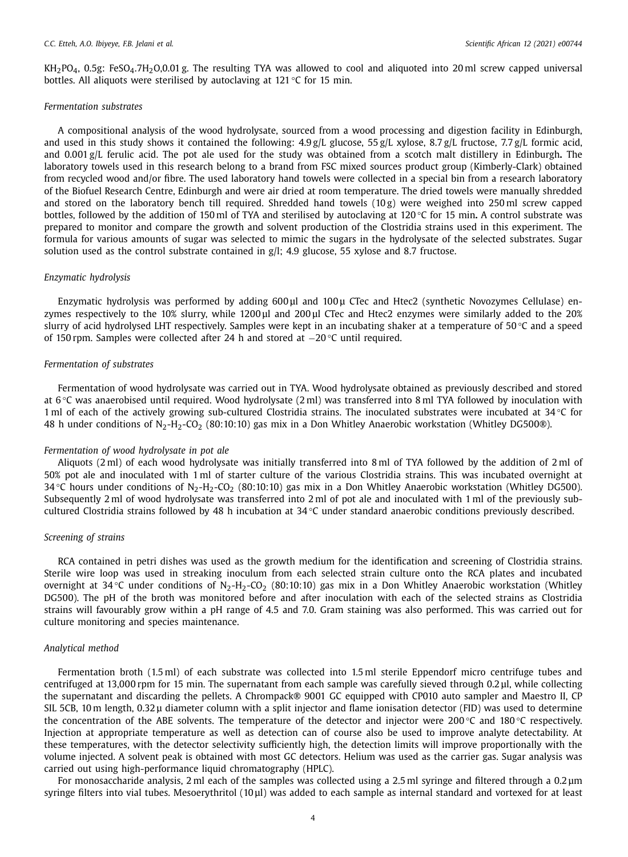$KH<sub>2</sub>PO<sub>4</sub>$ , 0.5g: FeSO<sub>4</sub>.7H<sub>2</sub>O,0.01 g. The resulting TYA was allowed to cool and aliquoted into 20 ml screw capped universal bottles. All aliquots were sterilised by autoclaving at 121 °C for 15 min.

#### *Fermentation substrates*

A compositional analysis of the wood hydrolysate, sourced from a wood processing and digestion facility in Edinburgh, and used in this study shows it contained the following:  $4.9 g/L$  glucose,  $55 g/L$  xylose,  $8.7 g/L$  fructose,  $7.7 g/L$  formic acid, and 0.001 g/L ferulic acid. The pot ale used for the study was obtained from a scotch malt distillery in Edinburgh**.** The laboratory towels used in this research belong to a brand from FSC mixed sources product group (Kimberly-Clark) obtained from recycled wood and/or fibre. The used laboratory hand towels were collected in a special bin from a research laboratory of the Biofuel Research Centre, Edinburgh and were air dried at room temperature. The dried towels were manually shredded and stored on the laboratory bench till required. Shredded hand towels  $(10 g)$  were weighed into 250 ml screw capped bottles, followed by the addition of 150 ml of TYA and sterilised by autoclaving at 120 °C for 15 min**.** A control substrate was prepared to monitor and compare the growth and solvent production of the Clostridia strains used in this experiment. The formula for various amounts of sugar was selected to mimic the sugars in the hydrolysate of the selected substrates. Sugar solution used as the control substrate contained in g/l; 4.9 glucose, 55 xylose and 8.7 fructose.

#### *Enzymatic hydrolysis*

Enzymatic hydrolysis was performed by adding 600 μl and 100 μ CTec and Htec2 (synthetic Novozymes Cellulase) enzymes respectively to the 10% slurry, while 1200 μl and 200 μl CTec and Htec2 enzymes were similarly added to the 20% slurry of acid hydrolysed LHT respectively. Samples were kept in an incubating shaker at a temperature of 50 $\degree$ C and a speed of 150 rpm. Samples were collected after 24 h and stored at −20 °C until required.

#### *Fermentation of substrates*

Fermentation of wood hydrolysate was carried out in TYA. Wood hydrolysate obtained as previously described and stored at 6 °C was anaerobised until required. Wood hydrolysate (2 ml) was transferred into 8 ml TYA followed by inoculation with 1 ml of each of the actively growing sub-cultured Clostridia strains. The inoculated substrates were incubated at 34 °C for 48 h under conditions of N<sub>2</sub>-H<sub>2</sub>-CO<sub>2</sub> (80:10:10) gas mix in a Don Whitley Anaerobic workstation (Whitley DG500®).

#### *Fermentation of wood hydrolysate in pot ale*

Aliquots (2 ml) of each wood hydrolysate was initially transferred into 8 ml of TYA followed by the addition of 2 ml of 50% pot ale and inoculated with 1 ml of starter culture of the various Clostridia strains. This was incubated overnight at  $34^{\circ}$ C hours under conditions of N<sub>2</sub>-H<sub>2</sub>-CO<sub>2</sub> (80:10:10) gas mix in a Don Whitley Anaerobic workstation (Whitley DG500). Subsequently 2 ml of wood hydrolysate was transferred into 2 ml of pot ale and inoculated with 1 ml of the previously subcultured Clostridia strains followed by 48 h incubation at  $34^{\circ}$ C under standard anaerobic conditions previously described.

#### *Screening of strains*

RCA contained in petri dishes was used as the growth medium for the identification and screening of Clostridia strains. Sterile wire loop was used in streaking inoculum from each selected strain culture onto the RCA plates and incubated overnight at 34 °C under conditions of N<sub>2</sub>-H<sub>2</sub>-CO<sub>2</sub> (80:10:10) gas mix in a Don Whitley Anaerobic workstation (Whitley DG500). The pH of the broth was monitored before and after inoculation with each of the selected strains as Clostridia strains will favourably grow within a pH range of 4.5 and 7.0. Gram staining was also performed. This was carried out for culture monitoring and species maintenance.

#### *Analytical method*

Fermentation broth (1.5 ml) of each substrate was collected into 1.5 ml sterile Eppendorf micro centrifuge tubes and centrifuged at 13,000 rpm for 15 min. The supernatant from each sample was carefully sieved through 0.2 μl, while collecting the supernatant and discarding the pellets. A Chrompack® 9001 GC equipped with CP010 auto sampler and Maestro II, CP SIL 5CB, 10 m length, 0.32 μ diameter column with a split injector and flame ionisation detector (FID) was used to determine the concentration of the ABE solvents. The temperature of the detector and injector were 200 $\degree$ C and 180 $\degree$ C respectively. Injection at appropriate temperature as well as detection can of course also be used to improve analyte detectability. At these temperatures, with the detector selectivity sufficiently high, the detection limits will improve proportionally with the volume injected. A solvent peak is obtained with most GC detectors. Helium was used as the carrier gas. Sugar analysis was carried out using high-performance liquid chromatography (HPLC).

For monosaccharide analysis, 2 ml each of the samples was collected using a 2.5 ml syringe and filtered through a 0.2 μm syringe filters into vial tubes. Mesoerythritol (10 μl) was added to each sample as internal standard and vortexed for at least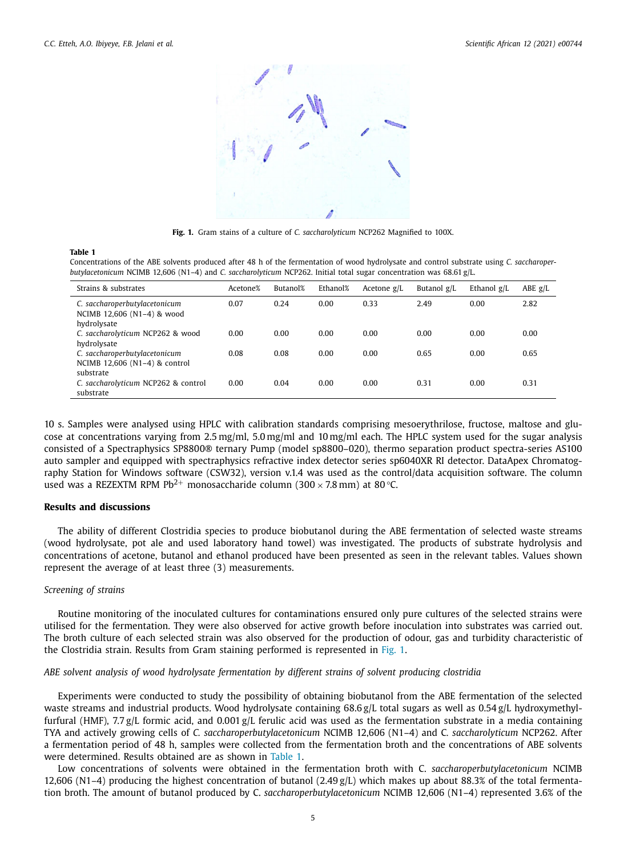<span id="page-4-0"></span>

**Fig. 1.** Gram stains of a culture of *C. saccharolyticum* NCP262 Magnified to 100X.

#### **Table 1**

Concentrations of the ABE solvents produced after 48 h of the fermentation of wood hydrolysate and control substrate using *C. saccharoperbutylacetonicum* NCIMB 12,606 (N1–4) and *C. saccharolyticum* NCP262. Initial total sugar concentration was 68.61 g/L.

| Strains & substrates                                                        | Acetone% | Butanol% | Ethanol% | Acetone $g/L$ | Butanol g/L | Ethanol $g/L$ | ABE $g/L$ |
|-----------------------------------------------------------------------------|----------|----------|----------|---------------|-------------|---------------|-----------|
| C. saccharoperbutylacetonicum<br>NCIMB 12,606 (N1-4) & wood<br>hydrolysate  | 0.07     | 0.24     | 0.00     | 0.33          | 2.49        | 0.00          | 2.82      |
| C. saccharolyticum NCP262 & wood<br>hydrolysate                             | 0.00     | 0.00     | 0.00     | 0.00          | 0.00        | 0.00          | 0.00      |
| C. saccharoperbutylacetonicum<br>NCIMB 12,606 (N1-4) & control<br>substrate | 0.08     | 0.08     | 0.00     | 0.00          | 0.65        | 0.00          | 0.65      |
| C. saccharolyticum NCP262 & control<br>substrate                            | 0.00     | 0.04     | 0.00     | 0.00          | 0.31        | 0.00          | 0.31      |

10 s. Samples were analysed using HPLC with calibration standards comprising mesoerythrilose, fructose, maltose and glucose at concentrations varying from 2.5 mg/ml, 5.0 mg/ml and 10 mg/ml each. The HPLC system used for the sugar analysis consisted of a Spectraphysics SP8800® ternary Pump (model sp8800–020), thermo separation product spectra-series AS100 auto sampler and equipped with spectraphysics refractive index detector series sp6040XR RI detector. DataApex Chromatography Station for Windows software (CSW32), version v.1.4 was used as the control/data acquisition software. The column used was a REZEXTM RPM Pb<sup>2+</sup> monosaccharide column (300 × 7.8 mm) at 80 °C.

## **Results and discussions**

The ability of different Clostridia species to produce biobutanol during the ABE fermentation of selected waste streams (wood hydrolysate, pot ale and used laboratory hand towel) was investigated. The products of substrate hydrolysis and concentrations of acetone, butanol and ethanol produced have been presented as seen in the relevant tables. Values shown represent the average of at least three (3) measurements.

#### *Screening of strains*

Routine monitoring of the inoculated cultures for contaminations ensured only pure cultures of the selected strains were utilised for the fermentation. They were also observed for active growth before inoculation into substrates was carried out. The broth culture of each selected strain was also observed for the production of odour, gas and turbidity characteristic of the Clostridia strain. Results from Gram staining performed is represented in Fig. 1.

#### *ABE solvent analysis of wood hydrolysate fermentation by different strains of solvent producing clostridia*

Experiments were conducted to study the possibility of obtaining biobutanol from the ABE fermentation of the selected waste streams and industrial products. Wood hydrolysate containing 68.6 g/L total sugars as well as 0.54 g/L hydroxymethylfurfural (HMF), 7.7 g/L formic acid, and 0.001 g/L ferulic acid was used as the fermentation substrate in a media containing TYA and actively growing cells of *C. saccharoperbutylacetonicum* NCIMB 12,606 (N1–4) and C*. saccharolyticum* NCP262. After a fermentation period of 48 h, samples were collected from the fermentation broth and the concentrations of ABE solvents were determined. Results obtained are as shown in Table 1.

Low concentrations of solvents were obtained in the fermentation broth with C. *saccharoperbutylacetonicum* NCIMB 12,606 (N1–4) producing the highest concentration of butanol (2.49 g/L) which makes up about 88.3% of the total fermentation broth. The amount of butanol produced by C. *saccharoperbutylacetonicum* NCIMB 12,606 (N1–4) represented 3.6% of the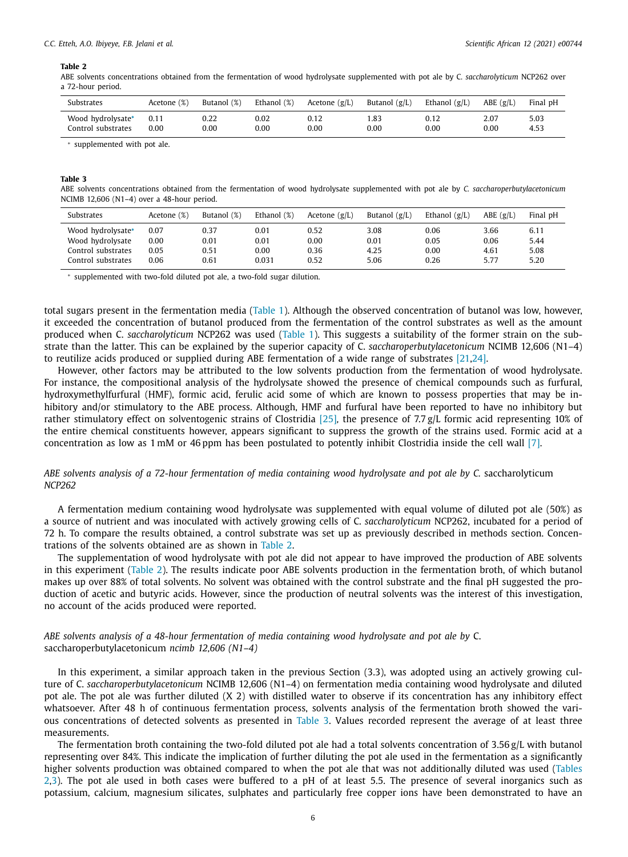#### <span id="page-5-0"></span>*C.C. Etteh, A.O. Ibiyeye, F.B. Jelani et al. Scientific African 12 (2021) e00744*

#### **Table 2**

ABE solvents concentrations obtained from the fermentation of wood hydrolysate supplemented with pot ale by C*. saccharolyticum* NCP262 over a 72-hour period.

| Substrates                              | Acetone (%) | Butanol (%)       | Ethanol (%)  | Acetone $(g/L)$  | Butanol $(g/L)$ | Ethanol $(g/L)$ | $ABE$ (g/L)       | Final pH     |
|-----------------------------------------|-------------|-------------------|--------------|------------------|-----------------|-----------------|-------------------|--------------|
| Wood hydrolysate*<br>Control substrates | $_{0.00}$   | 0.22<br>$_{0.00}$ | 0.02<br>0.00 | 0.12<br>$0.00\,$ | . 83<br>0.00    | 0.00            | 2.07<br>$_{0.00}$ | 5.03<br>4.53 |

<sup>∗</sup> supplemented with pot ale.

#### **Table 3**

ABE solvents concentrations obtained from the fermentation of wood hydrolysate supplemented with pot ale by *C. saccharoperbutylacetonicum* NCIMB 12,606 (N1–4) over a 48-hour period.

| Substrates                                                  | Acetone (%)          | Butanol (%)          | Ethanol (%)          | Acetone $(g/L)$          | Butanol $(g/L)$      | Ethanol $(g/L)$      | ABE(g/L)             | Final pH             |
|-------------------------------------------------------------|----------------------|----------------------|----------------------|--------------------------|----------------------|----------------------|----------------------|----------------------|
| Wood hydrolysate*<br>Wood hydrolysate<br>Control substrates | 0.07<br>0.00<br>0.05 | 0.37<br>0.01<br>0.51 | 0.01<br>0.01<br>0.00 | 0.52<br>$0.00\,$<br>0.36 | 3.08<br>0.01<br>4.25 | 0.06<br>0.05<br>0.00 | 3.66<br>0.06<br>4.61 | 6.11<br>5.44<br>5.08 |
| Control substrates                                          | 0.06                 | 0.61                 | 0.031                | 0.52                     | 5.06                 | 0.26                 | 5.77                 | 5.20                 |

<sup>∗</sup> supplemented with two-fold diluted pot ale, a two-fold sugar dilution.

total sugars present in the fermentation media [\(Table](#page-4-0) 1). Although the observed concentration of butanol was low, however, it exceeded the concentration of butanol produced from the fermentation of the control substrates as well as the amount produced when C. *saccharolyticum* NCP262 was used [\(Table](#page-4-0) 1). This suggests a suitability of the former strain on the substrate than the latter. This can be explained by the superior capacity of C. *saccharoperbutylacetonicum* NCIMB 12,606 (N1–4) to reutilize acids produced or supplied during ABE fermentation of a wide range of substrates [\[21,24\].](#page-8-0)

However, other factors may be attributed to the low solvents production from the fermentation of wood hydrolysate. For instance, the compositional analysis of the hydrolysate showed the presence of chemical compounds such as furfural, hydroxymethylfurfural (HMF), formic acid, ferulic acid some of which are known to possess properties that may be inhibitory and/or stimulatory to the ABE process. Although, HMF and furfural have been reported to have no inhibitory but rather stimulatory effect on solventogenic strains of Clostridia [\[25\]](#page-8-0)*,* the presence of 7.7 g/L formic acid representing 10% of the entire chemical constituents however, appears significant to suppress the growth of the strains used. Formic acid at a concentration as low as 1 mM or 46 ppm has been postulated to potently inhibit Clostridia inside the cell wall [\[7\].](#page-8-0)

### ABE solvents analysis of a 72-hour fermentation of media containing wood hydrolysate and pot ale by C. saccharolyticum *NCP262*

A fermentation medium containing wood hydrolysate was supplemented with equal volume of diluted pot ale (50%) as a source of nutrient and was inoculated with actively growing cells of C. *saccharolyticum* NCP262, incubated for a period of 72 h. To compare the results obtained, a control substrate was set up as previously described in methods section. Concentrations of the solvents obtained are as shown in Table 2.

The supplementation of wood hydrolysate with pot ale did not appear to have improved the production of ABE solvents in this experiment (Table 2). The results indicate poor ABE solvents production in the fermentation broth, of which butanol makes up over 88% of total solvents. No solvent was obtained with the control substrate and the final pH suggested the production of acetic and butyric acids. However, since the production of neutral solvents was the interest of this investigation, no account of the acids produced were reported.

## *ABE solvents analysis of a 48-hour fermentation of media containing wood hydrolysate and pot ale by* C. saccharoperbutylacetonicum *ncimb 12,606 (N1–4)*

In this experiment, a similar approach taken in the previous Section (3.3), was adopted using an actively growing culture of C. *saccharoperbutylacetonicum* NCIMB 12,606 (N1–4) on fermentation media containing wood hydrolysate and diluted pot ale. The pot ale was further diluted (X 2) with distilled water to observe if its concentration has any inhibitory effect whatsoever. After 48 h of continuous fermentation process, solvents analysis of the fermentation broth showed the various concentrations of detected solvents as presented in Table 3. Values recorded represent the average of at least three measurements.

The fermentation broth containing the two-fold diluted pot ale had a total solvents concentration of 3.56 g/L with butanol representing over 84%. This indicate the implication of further diluting the pot ale used in the fermentation as a significantly higher solvents production was obtained compared to when the pot ale that was not additionally diluted was used (Tables 2,3). The pot ale used in both cases were buffered to a pH of at least 5.5. The presence of several inorganics such as potassium, calcium, magnesium silicates, sulphates and particularly free copper ions have been demonstrated to have an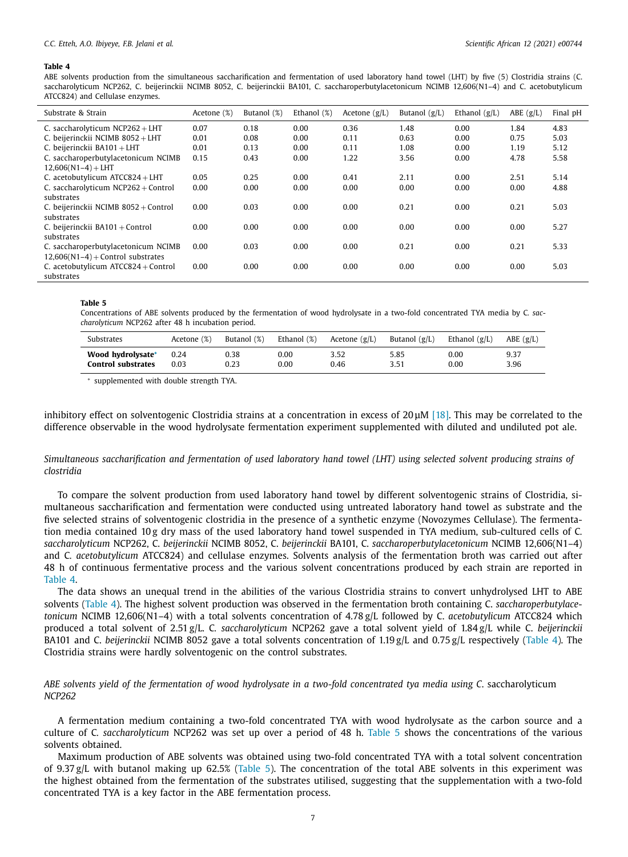#### <span id="page-6-0"></span>**Table 4**

ABE solvents production from the simultaneous saccharification and fermentation of used laboratory hand towel (LHT) by five (5) Clostridia strains (C. saccharolyticum NCP262, C. beijerinckii NCIMB 8052, C. beijerinckii BA101, C. saccharoperbutylacetonicum NCIMB 12.606(N1–4) and C. acetobutylicum ATCC824) and Cellulase enzymes.

| Substrate & Strain                                                         | Acetone (%) | Butanol (%) | Ethanol (%) | Acetone $(g/L)$ | Butanol $(g/L)$ | Ethanol $(g/L)$ | ABE(g/L) | Final pH |
|----------------------------------------------------------------------------|-------------|-------------|-------------|-----------------|-----------------|-----------------|----------|----------|
| C. saccharolyticum NCP262 + LHT                                            | 0.07        | 0.18        | 0.00        | 0.36            | 1.48            | 0.00            | 1.84     | 4.83     |
| C. beijerinckii NCIMB 8052 + LHT                                           | 0.01        | 0.08        | 0.00        | 0.11            | 0.63            | 0.00            | 0.75     | 5.03     |
| C. beijerinckii $BA101 + LHT$                                              | 0.01        | 0.13        | 0.00        | 0.11            | 1.08            | 0.00            | 1.19     | 5.12     |
| C. saccharoperbutylacetonicum NCIMB                                        | 0.15        | 0.43        | 0.00        | 1.22            | 3.56            | 0.00            | 4.78     | 5.58     |
| $12,606(N1-4) + LHT$                                                       |             |             |             |                 |                 |                 |          |          |
| C. acetobutylicum $ATCC824 + LHT$                                          | 0.05        | 0.25        | 0.00        | 0.41            | 2.11            | 0.00            | 2.51     | 5.14     |
| C. saccharolyticum $NCP262 + Control$<br>substrates                        | 0.00        | 0.00        | 0.00        | 0.00            | 0.00            | 0.00            | 0.00     | 4.88     |
| C. beijerinckii NCIMB 8052 + Control<br>substrates                         | 0.00        | 0.03        | 0.00        | 0.00            | 0.21            | 0.00            | 0.21     | 5.03     |
| C. beijerinckii BA101 + Control<br>substrates                              | 0.00        | 0.00        | 0.00        | 0.00            | 0.00            | 0.00            | 0.00     | 5.27     |
| C. saccharoperbutylacetonicum NCIMB<br>$12,606(N1-4) +$ Control substrates | 0.00        | 0.03        | 0.00        | 0.00            | 0.21            | 0.00            | 0.21     | 5.33     |
| C. acetobutylicum $ATCC824 + Control$<br>substrates                        | 0.00        | 0.00        | 0.00        | 0.00            | 0.00            | 0.00            | 0.00     | 5.03     |

#### **Table 5**

Concentrations of ABE solvents produced by the fermentation of wood hydrolysate in a two-fold concentrated TYA media by C*. saccharolyticum* NCP262 after 48 h incubation period.

| Substrates                | Acetone (%) | Butanol (%) | Ethanol (%) | Acetone $(g/L)$ | Butanol $(g/L)$ | Ethanol $(g/L)$ | $ABE$ (g/L) |
|---------------------------|-------------|-------------|-------------|-----------------|-----------------|-----------------|-------------|
| Wood hydrolysate*         | 0.24        | 0.38        | 0.00        | 3.52            | 5.85            | 0.00            | 9.37        |
| <b>Control substrates</b> | 0.03        | 0.23        | 0.00        | 0.46            | 3.51            | 0.00            | 3.96        |

<sup>∗</sup> supplemented with double strength TYA.

inhibitory effect on solventogenic Clostridia strains at a concentration in excess of 20μM [\[18\].](#page-8-0) This may be correlated to the difference observable in the wood hydrolysate fermentation experiment supplemented with diluted and undiluted pot ale.

## Simultaneous saccharification and fermentation of used laboratory hand towel (LHT) using selected solvent producing strains of *clostridia*

To compare the solvent production from used laboratory hand towel by different solventogenic strains of Clostridia, simultaneous saccharification and fermentation were conducted using untreated laboratory hand towel as substrate and the five selected strains of solventogenic clostridia in the presence of a synthetic enzyme (Novozymes Cellulase). The fermentation media contained 10 g dry mass of the used laboratory hand towel suspended in TYA medium, sub-cultured cells of C*. saccharolyticum* NCP262, C. *beijerinckii* NCIMB 8052, C. *beijerinckii* BA101, C. *saccharoperbutylacetonicum* NCIMB 12,606(N1–4) and C*. acetobutylicum* ATCC824) and cellulase enzymes. Solvents analysis of the fermentation broth was carried out after 48 h of continuous fermentative process and the various solvent concentrations produced by each strain are reported in Table 4.

The data shows an unequal trend in the abilities of the various Clostridia strains to convert unhydrolysed LHT to ABE solvents (Table 4). The highest solvent production was observed in the fermentation broth containing C. *saccharoperbutylacetonicum* NCIMB 12,606(N1–4) with a total solvents concentration of 4.78 g/L followed by C. *acetobutylicum* ATCC824 which produced a total solvent of 2.51 g/L. C*. saccharolyticum* NCP262 gave a total solvent yield of 1.84 g/L while C. *beijerinckii* BA101 and C. *beijerinckii* NCIMB 8052 gave a total solvents concentration of 1.19 g/L and 0.75 g/L respectively (Table 4). The Clostridia strains were hardly solventogenic on the control substrates.

ABE solvents yield of the fermentation of wood hydrolysate in a two-fold concentrated tya media using C, saccharolyticum *NCP262*

A fermentation medium containing a two-fold concentrated TYA with wood hydrolysate as the carbon source and a culture of C*. saccharolyticum* NCP262 was set up over a period of 48 h. Table 5 shows the concentrations of the various solvents obtained.

Maximum production of ABE solvents was obtained using two-fold concentrated TYA with a total solvent concentration of 9.37 g/L with butanol making up 62.5% (Table 5). The concentration of the total ABE solvents in this experiment was the highest obtained from the fermentation of the substrates utilised, suggesting that the supplementation with a two-fold concentrated TYA is a key factor in the ABE fermentation process.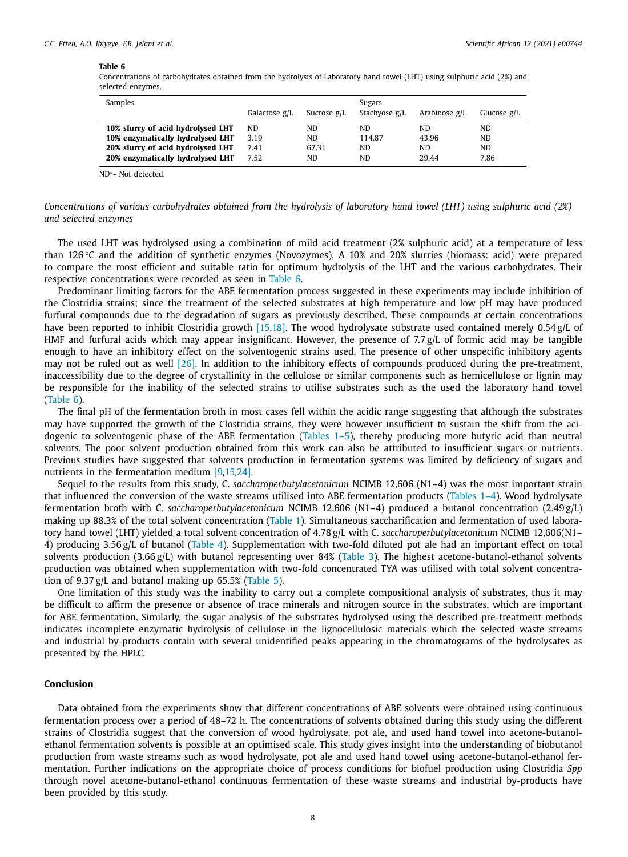#### **Table 6**

Concentrations of carbohydrates obtained from the hydrolysis of Laboratory hand towel (LHT) using sulphuric acid (2%) and selected enzymes.

| Samples                           | Galactose g/L | Sucrose $g/L$ | Sugars<br>Stachyose g/L | Arabinose $g/L$ | Glucose $g/L$ |
|-----------------------------------|---------------|---------------|-------------------------|-----------------|---------------|
| 10% slurry of acid hydrolysed LHT | ND.           | ND.           | ND.                     | ND.             | <b>ND</b>     |
| 10% enzymatically hydrolysed LHT  | 3.19          | ND.           | 114.87                  | 43.96           | <b>ND</b>     |
| 20% slurry of acid hydrolysed LHT | 7.41          | 67.31         | ND.                     | ND.             | ND.           |
| 20% enzymatically hydrolysed LHT  | 7.52          | ND.           | ND.                     | 29.44           | 7.86          |

ND∗- Not detected.

#### Concentrations of various carbohydrates obtained from the hydrolysis of laboratory hand towel (LHT) using sulphuric acid (2%) *and selected enzymes*

The used LHT was hydrolysed using a combination of mild acid treatment (2% sulphuric acid) at a temperature of less than 126 °C and the addition of synthetic enzymes (Novozymes). A 10% and 20% slurries (biomass: acid) were prepared to compare the most efficient and suitable ratio for optimum hydrolysis of the LHT and the various carbohydrates. Their respective concentrations were recorded as seen in Table 6.

Predominant limiting factors for the ABE fermentation process suggested in these experiments may include inhibition of the Clostridia strains; since the treatment of the selected substrates at high temperature and low pH may have produced furfural compounds due to the degradation of sugars as previously described. These compounds at certain concentrations have been reported to inhibit Clostridia growth [\[15,18\].](#page-8-0) The wood hydrolysate substrate used contained merely 0.54 g/L of HMF and furfural acids which may appear insignificant. However, the presence of 7.7 g/L of formic acid may be tangible enough to have an inhibitory effect on the solventogenic strains used. The presence of other unspecific inhibitory agents may not be ruled out as well [\[26\].](#page-8-0) In addition to the inhibitory effects of compounds produced during the pre-treatment, inaccessibility due to the degree of crystallinity in the cellulose or similar components such as hemicellulose or lignin may be responsible for the inability of the selected strains to utilise substrates such as the used the laboratory hand towel (Table 6).

The final pH of the fermentation broth in most cases fell within the acidic range suggesting that although the substrates may have supported the growth of the Clostridia strains, they were however insufficient to sustain the shift from the acidogenic to solventogenic phase of the ABE fermentation [\(Tables](#page-4-0) 1–5), thereby producing more butyric acid than neutral solvents. The poor solvent production obtained from this work can also be attributed to insufficient sugars or nutrients. Previous studies have suggested that solvents production in fermentation systems was limited by deficiency of sugars and nutrients in the fermentation medium [\[9,15,24\].](#page-8-0)

Sequel to the results from this study, C. *saccharoperbutylacetonicum* NCIMB 12,606 (N1–4) was the most important strain that influenced the conversion of the waste streams utilised into ABE fermentation products [\(Tables](#page-4-0) 1–4). Wood hydrolysate fermentation broth with C. *saccharoperbutylacetonicum* NCIMB 12,606 (N1–4) produced a butanol concentration (2.49 g/L) making up 88.3% of the total solvent concentration [\(Table](#page-4-0) 1). Simultaneous saccharification and fermentation of used laboratory hand towel (LHT) yielded a total solvent concentration of 4.78 g/L with C. *saccharoperbutylacetonicum* NCIMB 12,606(N1– 4) producing 3.56 g/L of butanol [\(Table](#page-6-0) 4). Supplementation with two-fold diluted pot ale had an important effect on total solvents production (3.66 g/L) with butanol representing over 84% [\(Table](#page-5-0) 3). The highest acetone-butanol-ethanol solvents production was obtained when supplementation with two-fold concentrated TYA was utilised with total solvent concentration of 9.37  $g/L$  and butanol making up 65.5% [\(Table](#page-6-0) 5).

One limitation of this study was the inability to carry out a complete compositional analysis of substrates, thus it may be difficult to affirm the presence or absence of trace minerals and nitrogen source in the substrates, which are important for ABE fermentation. Similarly, the sugar analysis of the substrates hydrolysed using the described pre-treatment methods indicates incomplete enzymatic hydrolysis of cellulose in the lignocellulosic materials which the selected waste streams and industrial by-products contain with several unidentified peaks appearing in the chromatograms of the hydrolysates as presented by the HPLC.

#### **Conclusion**

Data obtained from the experiments show that different concentrations of ABE solvents were obtained using continuous fermentation process over a period of 48–72 h. The concentrations of solvents obtained during this study using the different strains of Clostridia suggest that the conversion of wood hydrolysate, pot ale, and used hand towel into acetone-butanolethanol fermentation solvents is possible at an optimised scale. This study gives insight into the understanding of biobutanol production from waste streams such as wood hydrolysate, pot ale and used hand towel using acetone-butanol-ethanol fermentation. Further indications on the appropriate choice of process conditions for biofuel production using Clostridia *Spp* through novel acetone-butanol-ethanol continuous fermentation of these waste streams and industrial by-products have been provided by this study.